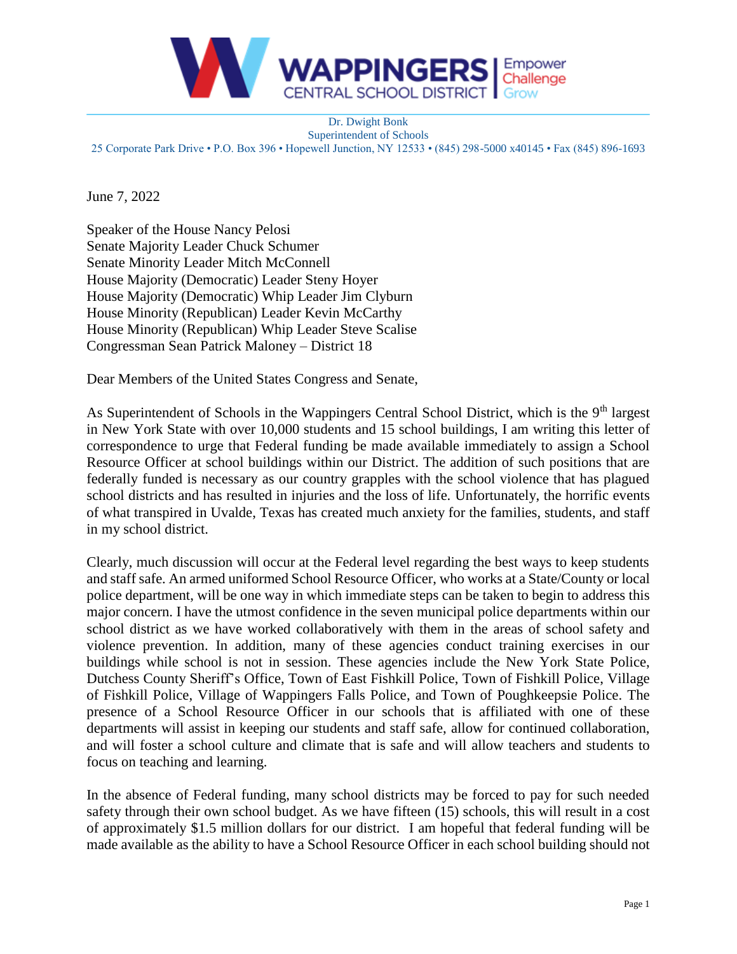

Dr. Dwight Bonk Superintendent of Schools 25 Corporate Park Drive • P.O. Box 396 • Hopewell Junction, NY 12533 • (845) 298-5000 x40145 • Fax (845) 896-1693

June 7, 2022

Speaker of the House Nancy Pelosi Senate Majority Leader Chuck Schumer Senate Minority Leader Mitch McConnell House Majority (Democratic) Leader Steny Hoyer House Majority (Democratic) Whip Leader Jim Clyburn House Minority (Republican) Leader Kevin McCarthy House Minority (Republican) Whip Leader Steve Scalise Congressman Sean Patrick Maloney – District 18

Dear Members of the United States Congress and Senate,

As Superintendent of Schools in the Wappingers Central School District, which is the 9<sup>th</sup> largest in New York State with over 10,000 students and 15 school buildings, I am writing this letter of correspondence to urge that Federal funding be made available immediately to assign a School Resource Officer at school buildings within our District. The addition of such positions that are federally funded is necessary as our country grapples with the school violence that has plagued school districts and has resulted in injuries and the loss of life. Unfortunately, the horrific events of what transpired in Uvalde, Texas has created much anxiety for the families, students, and staff in my school district.

Clearly, much discussion will occur at the Federal level regarding the best ways to keep students and staff safe. An armed uniformed School Resource Officer, who works at a State/County or local police department, will be one way in which immediate steps can be taken to begin to address this major concern. I have the utmost confidence in the seven municipal police departments within our school district as we have worked collaboratively with them in the areas of school safety and violence prevention. In addition, many of these agencies conduct training exercises in our buildings while school is not in session. These agencies include the New York State Police, Dutchess County Sheriff's Office, Town of East Fishkill Police, Town of Fishkill Police, Village of Fishkill Police, Village of Wappingers Falls Police, and Town of Poughkeepsie Police. The presence of a School Resource Officer in our schools that is affiliated with one of these departments will assist in keeping our students and staff safe, allow for continued collaboration, and will foster a school culture and climate that is safe and will allow teachers and students to focus on teaching and learning.

In the absence of Federal funding, many school districts may be forced to pay for such needed safety through their own school budget. As we have fifteen (15) schools, this will result in a cost of approximately \$1.5 million dollars for our district. I am hopeful that federal funding will be made available as the ability to have a School Resource Officer in each school building should not